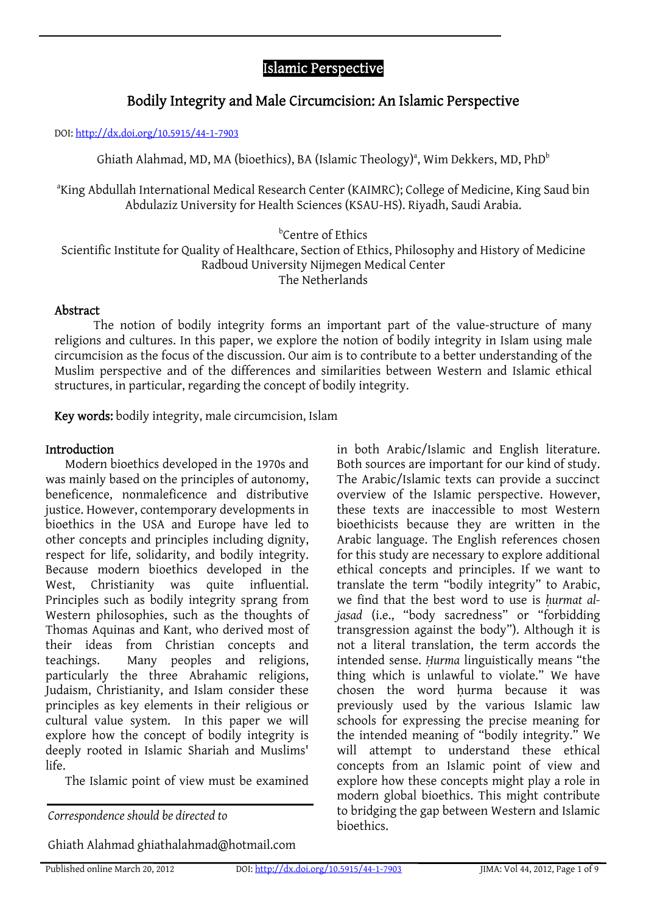# Islamic Perspective

# Bodily Integrity and Male Circumcision: An Islamic Perspective

DOI: http://dx.doi.org/10.5915/44-1-7903

Ghiath Alahmad, MD, MA (bioethics), BA (Islamic Theology)<sup>a</sup>, Wim Dekkers, MD, PhD $^{\rm b}$ 

a King Abdullah International Medical Research Center (KAIMRC); College of Medicine, King Saud bin Abdulaziz University for Health Sciences (KSAU-HS). Riyadh, Saudi Arabia.

b Centre of Ethics

Scientific Institute for Quality of Healthcare, Section of Ethics, Philosophy and History of Medicine Radboud University Nijmegen Medical Center The Netherlands

#### Abstract

The notion of bodily integrity forms an important part of the value-structure of many religions and cultures. In this paper, we explore the notion of bodily integrity in Islam using male circumcision as the focus of the discussion. Our aim is to contribute to a better understanding of the Muslim perspective and of the differences and similarities between Western and Islamic ethical structures, in particular, regarding the concept of bodily integrity.

Key words: bodily integrity, male circumcision, Islam

### Introduction

Modern bioethics developed in the 1970s and was mainly based on the principles of autonomy, beneficence, nonmaleficence and distributive justice. However, contemporary developments in bioethics in the USA and Europe have led to other concepts and principles including dignity, respect for life, solidarity, and bodily integrity. Because modern bioethics developed in the West, Christianity was quite influential. Principles such as bodily integrity sprang from Western philosophies, such as the thoughts of Thomas Aquinas and Kant, who derived most of their ideas from Christian concepts and teachings. Many peoples and religions, particularly the three Abrahamic religions, Judaism, Christianity, and Islam consider these principles as key elements in their religious or cultural value system. In this paper we will explore how the concept of bodily integrity is deeply rooted in Islamic Shariah and Muslims' life.

The Islamic point of view must be examined

bioethics. *Correspondence should be directed to* 

Ghiath Alahmad ghiathalahmad@hotmail.com

in both Arabic/Islamic and English literature. Both sources are important for our kind of study. The Arabic/Islamic texts can provide a succinct overview of the Islamic perspective. However, these texts are inaccessible to most Western bioethicists because they are written in the Arabic language. The English references chosen for this study are necessary to explore additional ethical concepts and principles. If we want to translate the term "bodily integrity" to Arabic, we find that the best word to use is *ḥurmat aljasad* (i.e., "body sacredness" or "forbidding transgression against the body"). Although it is not a literal translation, the term accords the intended sense. *Ḥurma* linguistically means "the thing which is unlawful to violate." We have chosen the word hurma because it was previously used by the various Islamic law schools for expressing the precise meaning for the intended meaning of "bodily integrity." We will attempt to understand these ethical concepts from an Islamic point of view and explore how these concepts might play a role in modern global bioethics. This might contribute to bridging the gap between Western and Islamic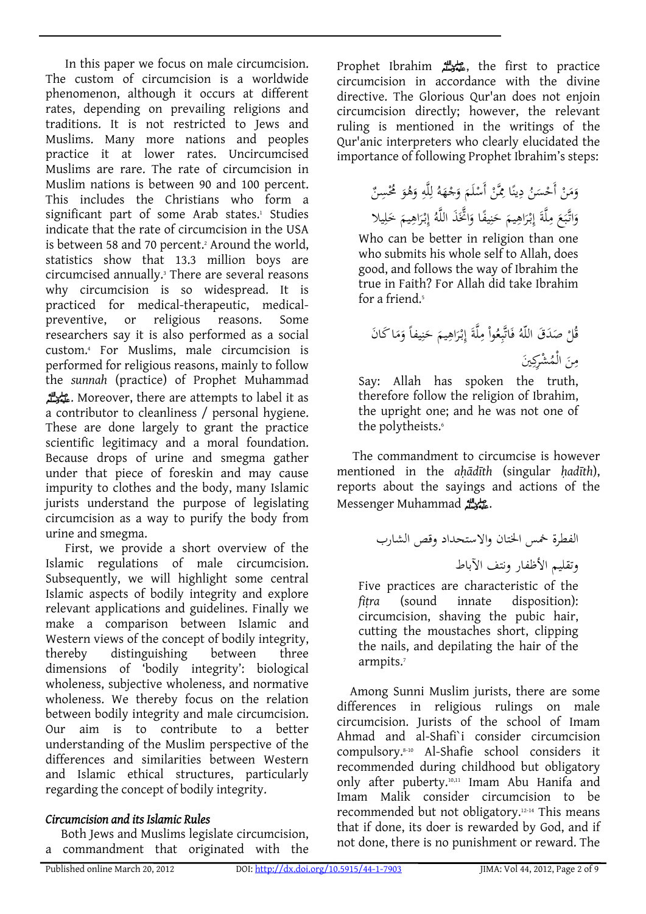In this paper we focus on male circumcision. The custom of ci[rcumcision is a worldwide](http://dx.doi.org/10.5915/44-1-7903)  [phenomenon,](http://dx.doi.org/10.5915/44-1-7903) although it occurs at different rates, depending on prevailing religions and traditions. It is not restricted to Jews and Muslims. Many more nations and peoples practice it at lower rates. Uncircumcised Muslims are rare. The rate of circumcision in Muslim nations is between 90 and 100 percent. This includes the Christians who form a significant part of some Arab states.<sup>1</sup> Studies indicate that the rate of circumcision in the USA is between 58 and 70 percent.<sup>2</sup> Around the world, statistics show that 13.3 million boys are circumcised annually.3 There are several reasons why circumcision is so widespread. It is practiced for medical-therapeutic, medicalpreventive, or religious reasons. Some researchers say it is also performed as a social custom.4 For Muslims, male circumcision is performed for religious reasons, mainly to follow the *sunnah* (practice) of Prophet Muhammad صلى الله عليه وسلم. Moreover, there are attempts to label it as a contributor to cleanliness / personal hygiene. These are done largely to grant the practice scientific legitimacy and a moral foundation. Because drops of urine and smegma gather under that piece of foreskin and may cause impurity to clothes and the body, many Islamic jurists understand the purpose of legislating circumcision as a way to purify the body from urine and smegma.

First, we provide a short overview of the Islamic regulations of male circumcision. Subsequently, we will highlight some central Islamic aspects of bodily integrity and explore relevant applications and guidelines. Finally we make a comparison between Islamic and Western views of the concept of bodily integrity, thereby distinguishing between three dimensions of 'bodily integrity': biological wholeness, subjective wholeness, and normative wholeness. We thereby focus on the relation between bodily integrity and male circumcision. Our aim is to contribute to a better understanding of the Muslim perspective of the differences and similarities between Western and Islamic ethical structures, particularly regarding the concept of bodily integrity.

# *Circumcision and its Islamic Rules*

Both Jews and Muslims legislate circumcision, a commandment that originated with the

Prophet Ibrahim صلى الله عليه وسلم, the first to practice circumcision in accordance with the divine directive. The Glorious Qur'an does not enjoin circumcision directly; however, the relevant ruling is mentioned in the writings of the Qur'anic interpreters who clearly elucidated the importance of following Prophet Ibrahim's steps:

> ِ وَمَنْ أَحْسَنُ دِينًا مِمَّنْ أَسْلَمَ وَجْهَهُ لِلَّهِ وَهُوَ مُحْسِنٌ ا **ٔ** ِ .<br>. َ وَاتَّبَعَ مِلَّةَ إِبْرَاهِيمَ حَنِيفًا وَاتَّخَذَ اللَّهُ إِبْرَاهِيمَ خَلِيلا<br>مَا تَّبَعَ مِلَّةَ إِبْرَاهِيمَ َ َ ن َ ِ َ

Who can be better in religion than one who submits his whole self to Allah, does good, and follows the way of Ibrahim the true in Faith? For Allah did take Ibrahim for a friend.<sup>5</sup>

ان ا َك َ َ م َ ً و ِيفا ن َ َ ح ِيم َاه ْر ِبـ َ إ ِلَّة ْ م ُوا ِع َاتَّب ُ ف َ َق اللّه َد ْ ص ُل ق َين ِ ُ ْشِرك َ ال ْم م ِن

Say: Allah has spoken the truth, therefore follow the religion of Ibrahim, the upright one; and he was not one of the polytheists.<sup>6</sup>

The commandment to circumcise is however mentioned in the *aḥādīth* (singular *ḥadīth*), reports about the sayings and actions of the Messenger Muhammad صلى الله عليه وسلم.

الفطرة خمس الختان والاستحداد وقص الشارب وتقليم الأظفار ونتف الآباط

Five practices are characteristic of the *fiṭra* (sound innate disposition): circumcision, shaving the pubic hair, cutting the moustaches short, clipping the nails, and depilating the hair of the armpits.<sup>7</sup>

Among Sunni Muslim jurists, there are some differences in religious rulings on male circumcision. Jurists of the school of Imam Ahmad and al-Shafi`i consider circumcision compulsory.8-10 Al-Shafie school considers it recommended during childhood but obligatory only after puberty.10,11 Imam Abu Hanifa and Imam Malik consider circumcision to be recommended but not obligatory.12-14 This means that if done, its doer is rewarded by God, and if not done, there is no punishment or reward. The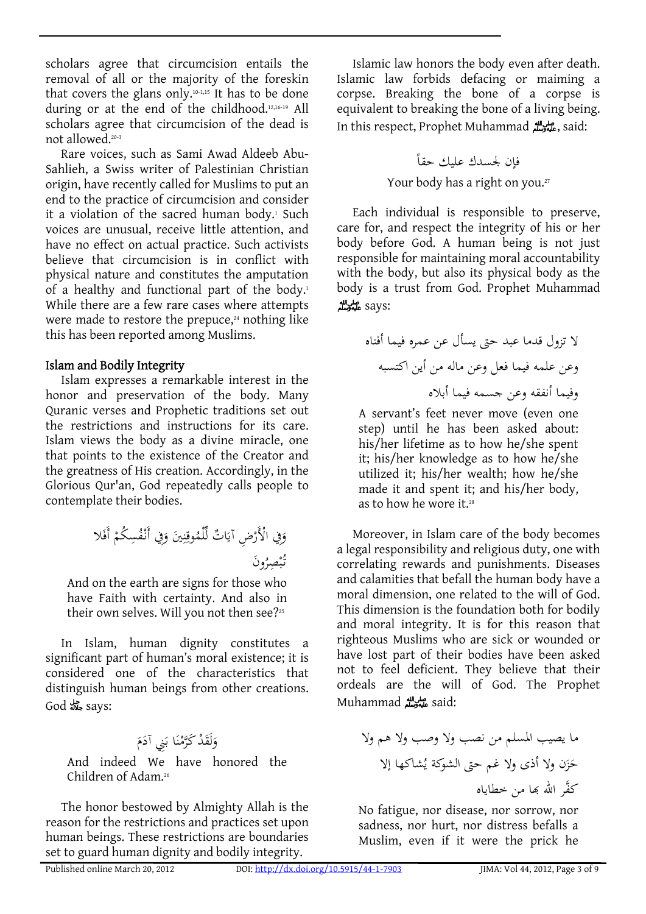scholars agree that circumcision entails the removal of all or the majority of the foreskin that covers the glans only.<sup>10-1,15</sup> It has to be done during or at the end of the childhood.12,16-19 All scholars agree that circumcision of the dead is not allowed.20-3

Rare voices, such as Sami Awad Aldeeb Abu-Sahlieh, a Swiss writer of Palestinian Christian origin, have recently called for Muslims to put an end to the practice of circumcision and consider it a violation of the sacred human body.<sup>1</sup> Such voices are unusual, receive little attention, and have no effect on actual practice. Such activists believe that circumcision is in conflict with physical nature and constitutes the amputation of a healthy and functional part of the body.<sup>1</sup> While there are a few rare cases where attempts were made to restore the prepuce, $24$  nothing like this has been reported among Muslims.

#### Islam and Bodily Integrity

Islam expresses a remarkable interest in the honor and preservation of the body. Many Quranic verses and Prophetic traditions set out the restrictions and instructions for its care. Islam views the body as a divine miracle, one that points to the existence of the Creator and the greatness of His creation. Accordingly, in the Glorious Qur'an, God repeatedly calls people to contemplate their bodies.

َلا ْ أَف ِ ُكم ُس ْف ِفي أَنـ َ َين و ِ ن ِ ُوق ْلم ِّ ات ل ٌ َ ْ ِض آي ِفي ْالأَر َ و ُ َون ِصر ْ ب تـ ُ

And on the earth are signs for those who have Faith with certainty. And also in their own selves. Will you not then see?<sup>25</sup>

In Islam, human dignity constitutes a significant part of human's moral existence; it is considered one of the characteristics that distinguish human beings from other creations. God جل جلاله says:

مُ وَلَقَدْ كَرَّمْنَا بَنِي آدَمَ بہ<br>: .<br>. ن ام<br>ا ه<br>و And indeed We have honored the Children of Adam.26

The honor bestowed by Almighty Allah is the reason for the restrictions and practices set upon human beings. These restrictions are boundaries set to guard human dignity and bodily integrity.

Islamic law honors the body even after death. Islamic law forbids defacing or maiming a corpse. Breaking the bone of a corpse is equivalent to breaking the bone of a living being. In this respect, Prophet Muhammad صلى الله عليه وسلم, said:

فإن لجسدك عليك حقا ً Your body has a right on you.27

Each individual is responsible to preserve, care for, and respect the integrity of his or her body before God. A human being is not just responsible for maintaining moral accountability with the body, but also its physical body as the body is a trust from God. Prophet Muhammad :says صلى الله عليه وسلم

لا تزول قدما عبد حتى يسأل عن عمره فيما أفناه وعن علمه فيما فعل وعن ماله من أين اكتسبه وفيما أنفقه وعن جسمه فيما أبلاه

A servant's feet never move (even one step) until he has been asked about: his/her lifetime as to how he/she spent it; his/her knowledge as to how he/she utilized it; his/her wealth; how he/she made it and spent it; and his/her body, as to how he wore it.<sup>28</sup>

Moreover, in Islam care of the body becomes a legal responsibility and religious duty, one with correlating rewards and punishments. Diseases and calamities that befall the human body have a moral dimension, one related to the will of God. This dimension is the foundation both for bodily and moral integrity. It is for this reason that righteous Muslims who are sick or wounded or have lost part of their bodies have been asked not to feel deficient. They believe that their ordeals are the will of God. The Prophet Muhammad صلى الله عليه وسلم said:

ما يصيب المسلم من نصب ولا وصب ولا هم ولا ُشاكها إلا َن ولا أذى ولا غم حتى الشوكة ي َز ح َّكفر االله đا من خطاياه

No fatigue, nor disease, nor sorrow, nor sadness, nor hurt, nor distress befalls a Muslim, even if it were the prick he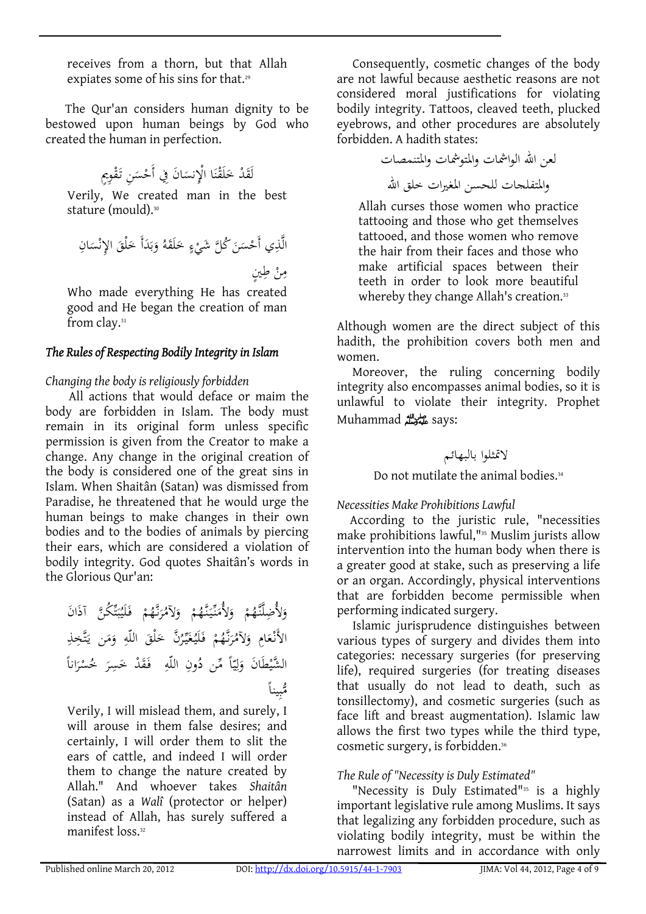receives from a thorn, but that Allah expiates some of his sins for that.<sup>29</sup>

The Qur'an considers human dignity to be bestowed upon human beings by God who created the human in perfection.

ْ ِوٍيم َق ِن تـ َ ْس َ َ ان ِفي أَح ِنس ا ْالإ َ ْن َق ل َ َ ْد خ لَق

Verily, We created man in the best stature (mould).<sup>30</sup>

الَّذِي أَحْسَنَ كُلَّ شَيْءٍ خَلَقَهُ وَبَدَأَ خَلْقَ الإِنْسَانِ ب<br>. ب َ َ .<br>-مِنْ طِينٍ<br>ِ

Who made everything He has created good and He began the creation of man from clay.31

### *The Rules of Respecting Bodily Integrity in Islam*

### *Changing the body is religiously forbidden*

All actions that would deface or maim the body are forbidden in Islam. The body must remain in its original form unless specific permission is given from the Creator to make a change. Any change in the original creation of the body is considered one of the great sins in Islam. When Shaitân (Satan) was dismissed from Paradise, he threatened that he would urge the human beings to make changes in their own bodies and to the bodies of animals by piercing their ears, which are considered a violation of bodily integrity. God quotes Shaitân's words in the Glorious Qur'an:

ان ِّ ُك َّن َآذ َ ت َ ب ُ َي َل ْ فـ ُم نـَّه َ ُر َلآم ْ و ُم َّنـه َ نـيـ ِّ َ َلأُم ْ و ُم َلأُ ِضلََّّنـه و ِ تَّ ِخذ َ َن يـ م َ ِ و َ اللّه َْلق َّن خ ُ ر ِّ َيـ غ ُ َيـ َل ْ فـ ُم نـَّه َ ُر َلآم ِ و َام ْع الأَنـ ِ ِ اللّه ُون ً ِّمن د ا ّ ي ِ ل َ ان و َ َ ْط ً َّ الشي انا َ ْر ُس َ خ ِر َس َ ْد خ َق فـ ً ِينا ُّمب

Verily, I will mislead them, and surely, I will arouse in them false desires; and certainly, I will order them to slit the ears of cattle, and indeed I will order them to change the nature created by Allah." And whoever takes *Shaitân* (Satan) as a *Walî* (protector or helper) instead of Allah, has surely suffered a manifest loss.32

Consequently, cosmetic changes of the body are not lawful because aesthetic reasons are not considered moral justifications for violating bodily integrity. Tattoos, cleaved teeth, plucked eyebrows, and other procedures are absolutely forbidden. A hadith states:

لعن االله الواشمات والمتوشمات والمتنمصات والمتفلجات للحسن المغيرات خلق االله

Allah curses those women who practice tattooing and those who get themselves tattooed, and those women who remove the hair from their faces and those who make artificial spaces between their teeth in order to look more beautiful whereby they change Allah's creation.<sup>33</sup>

Although women are the direct subject of this hadith, the prohibition covers both men and women.

Moreover, the ruling concerning bodily integrity also encompasses animal bodies, so it is unlawful to violate their integrity. Prophet Muhammad صلى الله عليه وسلم says:

لاتمثلوا بالبهائم

# Do not mutilate the animal bodies.<sup>34</sup>

*Necessities Make Prohibitions Lawful* 

According to the juristic rule, "necessities make prohibitions lawful,"35 Muslim jurists allow intervention into the human body when there is a greater good at stake, such as preserving a life or an organ. Accordingly, physical interventions that are forbidden become permissible when performing indicated surgery.

Islamic jurisprudence distinguishes between various types of surgery and divides them into categories: necessary surgeries (for preserving life), required surgeries (for treating diseases that usually do not lead to death, such as tonsillectomy), and cosmetic surgeries (such as face lift and breast augmentation). Islamic law allows the first two types while the third type, cosmetic surgery, is forbidden.36

# *The Rule of "Necessity is Duly Estimated"*

"Necessity is Duly Estimated"35 is a highly important legislative rule among Muslims. It says that legalizing any forbidden procedure, such as violating bodily integrity, must be within the narrowest limits and in accordance with only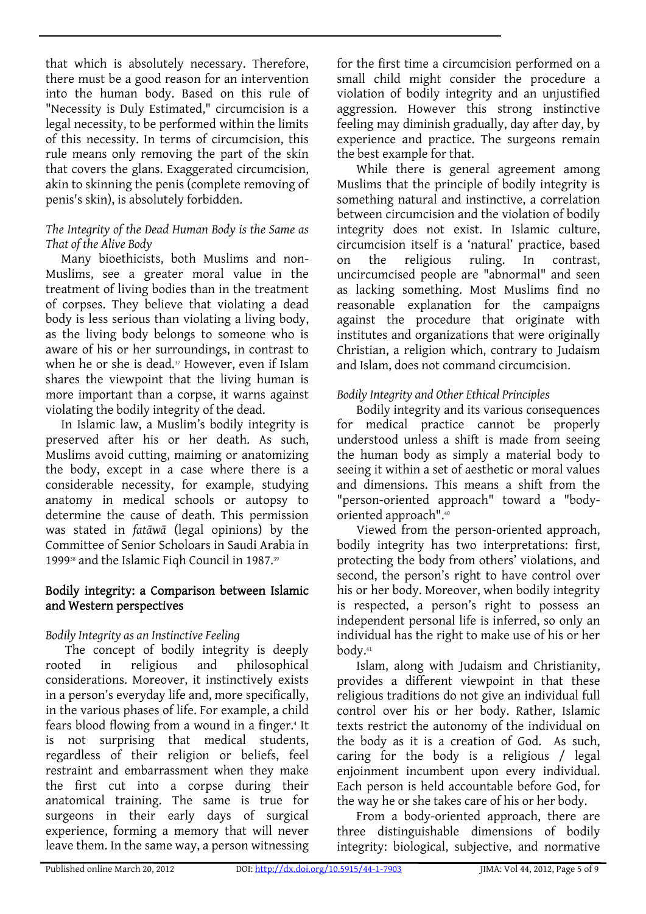that which is absolutely necessary. Therefore, there must be a good reason for an intervention into the human body. Based on this rule of "Necessity is Duly Estimated," circumcision is a legal necessity, to be performed within the limits of this necessity. In terms of circumcision, this rule means only removing the part of the skin that covers the glans. Exaggerated circumcision, akin to skinning the penis (complete removing of penis's skin), is absolutely forbidden.

#### *The Integrity of the Dead Human Body is the Same as That of the Alive Body*

Many bioethicists, both Muslims and non-Muslims, see a greater moral value in the treatment of living bodies than in the treatment of corpses. They believe that violating a dead body is less serious than violating a living body, as the living body belongs to someone who is aware of his or her surroundings, in contrast to when he or she is dead.<sup>37</sup> However, even if Islam shares the viewpoint that the living human is more important than a corpse, it warns against violating the bodily integrity of the dead.

In Islamic law, a Muslim's bodily integrity is preserved after his or her death. As such, Muslims avoid cutting, maiming or anatomizing the body, except in a case where there is a considerable necessity, for example, studying anatomy in medical schools or autopsy to determine the cause of death. This permission was stated in *fatāwā* (legal opinions) by the Committee of Senior Scholoars in Saudi Arabia in 1999<sup>38</sup> and the Islamic Figh Council in 1987.<sup>39</sup>

### Bodily integrity: a Comparison between Islamic and Western perspectives

# *Bodily Integrity as an Instinctive Feeling*

The concept of bodily integrity is deeply rooted in religious and philosophical considerations. Moreover, it instinctively exists in a person's everyday life and, more specifically, in the various phases of life. For example, a child fears blood flowing from a wound in a finger.<sup>4</sup> It is not surprising that medical students, regardless of their religion or beliefs, feel restraint and embarrassment when they make the first cut into a corpse during their anatomical training. The same is true for surgeons in their early days of surgical experience, forming a memory that will never leave them. In the same way, a person witnessing

for the first time a circumcision performed on a small child might consider the procedure a violation of bodily integrity and an unjustified aggression. However this strong instinctive feeling may diminish gradually, day after day, by experience and practice. The surgeons remain the best example for that.

While there is general agreement among Muslims that the principle of bodily integrity is something natural and instinctive, a correlation between circumcision and the violation of bodily integrity does not exist. In Islamic culture, circumcision itself is a 'natural' practice, based on the religious ruling. In contrast, uncircumcised people are "abnormal" and seen as lacking something. Most Muslims find no reasonable explanation for the campaigns against the procedure that originate with institutes and organizations that were originally Christian, a religion which, contrary to Judaism and Islam, does not command circumcision.

# *Bodily Integrity and Other Ethical Principles*

Bodily integrity and its various consequences for medical practice cannot be properly understood unless a shift is made from seeing the human body as simply a material body to seeing it within a set of aesthetic or moral values and dimensions. This means a shift from the "person-oriented approach" toward a "bodyoriented approach".40

Viewed from the person-oriented approach, bodily integrity has two interpretations: first, protecting the body from others' violations, and second, the person's right to have control over his or her body. Moreover, when bodily integrity is respected, a person's right to possess an independent personal life is inferred, so only an individual has the right to make use of his or her body.41

Islam, along with Judaism and Christianity, provides a different viewpoint in that these religious traditions do not give an individual full control over his or her body. Rather, Islamic texts restrict the autonomy of the individual on the body as it is a creation of God. As such, caring for the body is a religious / legal enjoinment incumbent upon every individual. Each person is held accountable before God, for the way he or she takes care of his or her body.

From a body-oriented approach, there are three distinguishable dimensions of bodily integrity: biological, subjective, and normative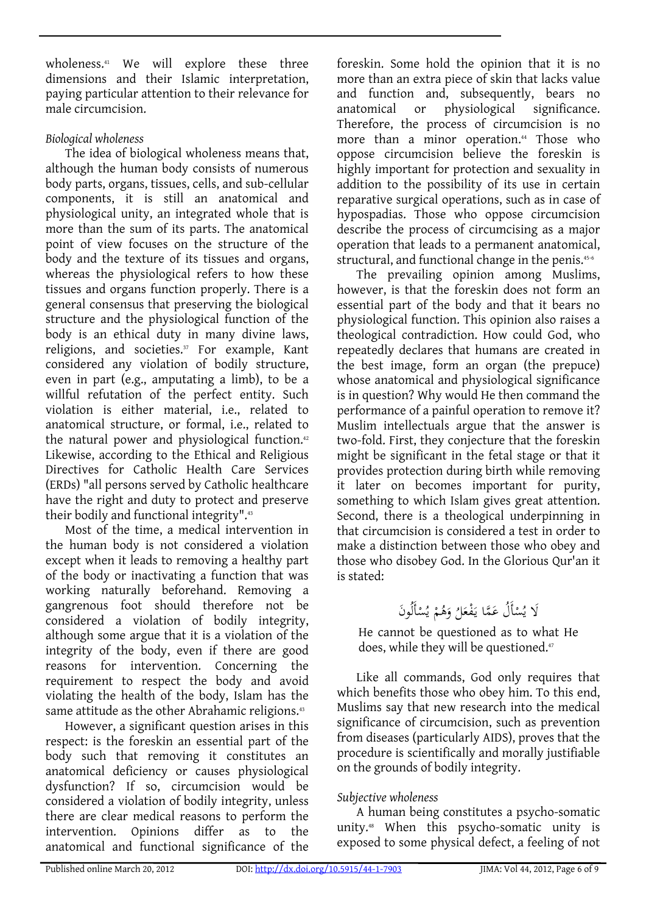wholeness.<sup>41</sup> We will explore these three dimensions and their Islamic interpretation, paying particular attention to their relevance for male circumcision.

# *Biological wholeness*

The idea of biological wholeness means that, although the human body consists of numerous body parts, organs, tissues, cells, and sub-cellular components, it is still an anatomical and physiological unity, an integrated whole that is more than the sum of its parts. The anatomical point of view focuses on the structure of the body and the texture of its tissues and organs, whereas the physiological refers to how these tissues and organs function properly. There is a general consensus that preserving the biological structure and the physiological function of the body is an ethical duty in many divine laws, religions, and societies.<sup>37</sup> For example, Kant considered any violation of bodily structure, even in part (e.g., amputating a limb), to be a willful refutation of the perfect entity. Such violation is either material, i.e., related to anatomical structure, or formal, i.e., related to the natural power and physiological function.<sup>42</sup> Likewise, according to the Ethical and Religious Directives for Catholic Health Care Services (ERDs) "all persons served by Catholic healthcare have the right and duty to protect and preserve their bodily and functional integrity".43

Most of the time, a medical intervention in the human body is not considered a violation except when it leads to removing a healthy part of the body or inactivating a function that was working naturally beforehand. Removing a gangrenous foot should therefore not be considered a violation of bodily integrity, although some argue that it is a violation of the integrity of the body, even if there are good reasons for intervention. Concerning the requirement to respect the body and avoid violating the health of the body, Islam has the same attitude as the other Abrahamic religions.<sup>43</sup>

However, a significant question arises in this respect: is the foreskin an essential part of the body such that removing it constitutes an anatomical deficiency or causes physiological dysfunction? If so, circumcision would be considered a violation of bodily integrity, unless there are clear medical reasons to perform the intervention. Opinions differ as to the anatomical and functional significance of the

foreskin. Some hold the opinion that it is no more than an extra piece of skin that lacks value and function and, subsequently, bears no anatomical or physiological significance. Therefore, the process of circumcision is no more than a minor operation.<sup>44</sup> Those who oppose circumcision believe the foreskin is highly important for protection and sexuality in addition to the possibility of its use in certain reparative surgical operations, such as in case of hypospadias. Those who oppose circumcision describe the process of circumcising as a major operation that leads to a permanent anatomical, structural, and functional change in the penis.<sup>45-6</sup>

The prevailing opinion among Muslims, however, is that the foreskin does not form an essential part of the body and that it bears no physiological function. This opinion also raises a theological contradiction. How could God, who repeatedly declares that humans are created in the best image, form an organ (the prepuce) whose anatomical and physiological significance is in question? Why would He then command the performance of a painful operation to remove it? Muslim intellectuals argue that the answer is two-fold. First, they conjecture that the foreskin might be significant in the fetal stage or that it provides protection during birth while removing it later on becomes important for purity, something to which Islam gives great attention. Second, there is a theological underpinning in that circumcision is considered a test in order to make a distinction between those who obey and those who disobey God. In the Glorious Qur'an it is stated:

#### لَا يُسْأَلُ عَمَّا يَفْعَلُ وَهُمْ يُسْأَلُونَ<br>. .<br>. اب<br>ا ْ

He cannot be questioned as to what He does, while they will be questioned.<sup>47</sup>

Like all commands, God only requires that which benefits those who obey him. To this end, Muslims say that new research into the medical significance of circumcision, such as prevention from diseases (particularly AIDS), proves that the procedure is scientifically and morally justifiable on the grounds of bodily integrity.

# *Subjective wholeness*

A human being constitutes a psycho-somatic unity.48 When this psycho-somatic unity is exposed to some physical defect, a feeling of not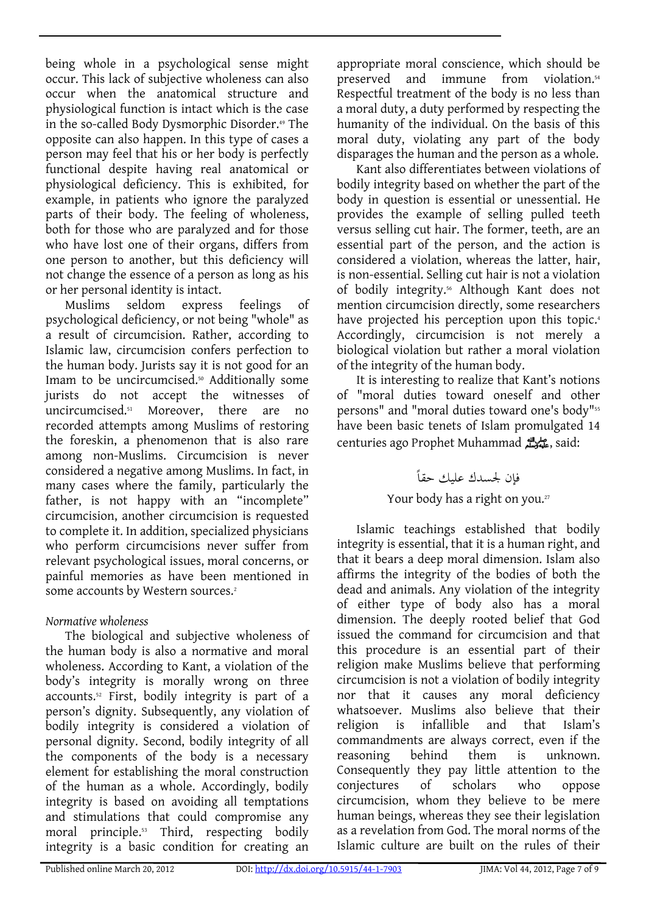being whole in a psychological sense might occur. This lack of subjective wholeness can also occur when the anatomical structure and physiological function is intact which is the case in the so-called Body Dysmorphic Disorder.<sup>49</sup> The opposite can also happen. In this type of cases a person may feel that his or her body is perfectly functional despite having real anatomical or physiological deficiency. This is exhibited, for example, in patients who ignore the paralyzed parts of their body. The feeling of wholeness, both for those who are paralyzed and for those who have lost one of their organs, differs from one person to another, but this deficiency will not change the essence of a person as long as his or her personal identity is intact.

Muslims seldom express feelings of psychological deficiency, or not being "whole" as a result of circumcision. Rather, according to Islamic law, circumcision confers perfection to the human body. Jurists say it is not good for an Imam to be uncircumcised.<sup>50</sup> Additionally some jurists do not accept the witnesses of uncircumcised.51 Moreover, there are no recorded attempts among Muslims of restoring the foreskin, a phenomenon that is also rare among non-Muslims. Circumcision is never considered a negative among Muslims. In fact, in many cases where the family, particularly the father, is not happy with an "incomplete" circumcision, another circumcision is requested to complete it. In addition, specialized physicians who perform circumcisions never suffer from relevant psychological issues, moral concerns, or painful memories as have been mentioned in some accounts by Western sources.<sup>2</sup>

# *Normative wholeness*

The biological and subjective wholeness of the human body is also a normative and moral wholeness. According to Kant, a violation of the body's integrity is morally wrong on three accounts.52 First, bodily integrity is part of a person's dignity. Subsequently, any violation of bodily integrity is considered a violation of personal dignity. Second, bodily integrity of all the components of the body is a necessary element for establishing the moral construction of the human as a whole. Accordingly, bodily integrity is based on avoiding all temptations and stimulations that could compromise any moral principle.53 Third, respecting bodily integrity is a basic condition for creating an

appropriate moral conscience, which should be preserved and immune from violation.54 Respectful treatment of the body is no less than a moral duty, a duty performed by respecting the humanity of the individual. On the basis of this moral duty, violating any part of the body disparages the human and the person as a whole.

Kant also differentiates between violations of bodily integrity based on whether the part of the body in question is essential or unessential. He provides the example of selling pulled teeth versus selling cut hair. The former, teeth, are an essential part of the person, and the action is considered a violation, whereas the latter, hair, is non-essential. Selling cut hair is not a violation of bodily integrity.<sup>56</sup> Although Kant does not mention circumcision directly, some researchers have projected his perception upon this topic.<sup>4</sup> Accordingly, circumcision is not merely a biological violation but rather a moral violation of the integrity of the human body.

It is interesting to realize that Kant's notions of "moral duties toward oneself and other persons" and "moral duties toward one's body"55 have been basic tenets of Islam promulgated 14 centuries ago Prophet Muhammad صلى الله عليه وسلم, said:

> فإن لجسدك علىك حقاً Your body has a right on you.<sup>27</sup>

Islamic teachings established that bodily integrity is essential, that it is a human right, and that it bears a deep moral dimension. Islam also affirms the integrity of the bodies of both the dead and animals. Any violation of the integrity of either type of body also has a moral dimension. The deeply rooted belief that God issued the command for circumcision and that this procedure is an essential part of their religion make Muslims believe that performing circumcision is not a violation of bodily integrity nor that it causes any moral deficiency whatsoever. Muslims also believe that their religion is infallible and that Islam's commandments are always correct, even if the reasoning behind them is unknown. Consequently they pay little attention to the conjectures of scholars who oppose circumcision, whom they believe to be mere human beings, whereas they see their legislation as a revelation from God. The moral norms of the Islamic culture are built on the rules of their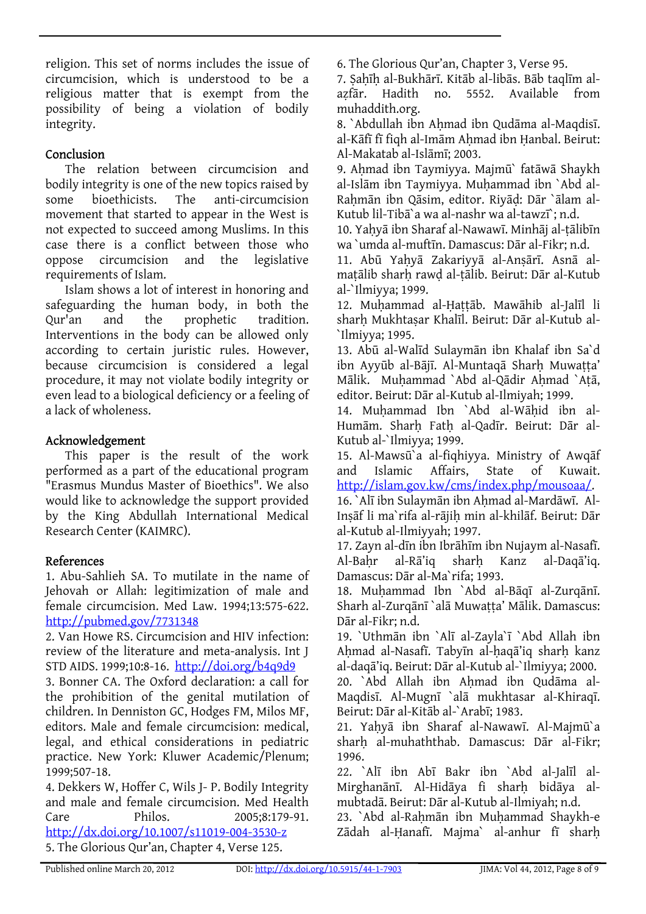religion. This set of norms includes the issue of circumcision, which is understood to be a religious matter that is exempt from the possibility of being a violation of bodily integrity.

## Conclusion

The relation between circumcision and bodily integrity is one of the new topics raised by some bioethicists. The anti-circumcision movement that started to appear in the West is not expected to succeed among Muslims. In this case there is a conflict between those who oppose circumcision and the legislative requirements of Islam.

Islam shows a lot of interest in honoring and safeguarding the human body, in both the Qur'an and the prophetic tradition. Interventions in the body can be allowed only according to certain juristic rules. However, because circumcision is considered a legal procedure, it may not violate bodily integrity or even lead to a biological deficiency or a feeling of a lack of wholeness.

# Acknowledgement

This paper is the result of the work performed as a part of the educational program "Erasmus Mundus Master of Bioethics". We also would like to acknowledge the support provided by the King Abdullah International Medical Research Center (KAIMRC).

# References

1. Abu-Sahlieh SA. To mutilate in the name of Jehovah or Allah: legitimization of male and female circumcision. Med Law. 1994;13:575-622. <http://pubmed.gov/7731348>

2. Van Howe RS. Circumcision and HIV infection: review of the literature and meta-analysis. Int J STD AIDS. 1999;10:8-16. <http://doi.org/b4q9d9>

3. Bonner CA. The Oxford declaration: a call for the prohibition of the genital mutilation of children. In Denniston GC, Hodges FM, Milos MF, editors. Male and female circumcision: medical, legal, and ethical considerations in pediatric practice. New York: Kluwer Academic/Plenum; 1999;507-18.

4. Dekkers W, Hoffer C, Wils J- P. Bodily Integrity and male and female circumcision. Med Health Care Philos. 2005;8:179-91. <http://dx.doi.org/10.1007/s11019-004-3530-z> 5. The Glorious Qur'an, Chapter 4, Verse 125.

6. The Glorious Qur'an, Chapter 3, Verse 95.

7. Ṣaḥīḥ al-Bukhārī. Kitāb al-libās. Bāb taqlīm alaẓfār. Hadith no. 5552. Available from muhaddith.org.

8. `Abdullah ibn Ahmad ibn Qudāma al-Maqdisī. al-Kāfī fī figh al-Imām Ahmad ibn Hanbal. Beirut: Al-Makatab al-Islāmī; 2003.

9. Ahmad ibn Taymiyya. Majmū` fatāwā Shaykh al-Islām ibn Taymiyya. Muḥammad ibn `Abd al-Rahmān ibn Qāsim, editor. Riyād: Dār `ālam al-Kutub lil-Tibā`a wa al-nashr wa al-tawzī`; n.d.

10. Yaḥyā ibn Sharaf al-Nawawī. Minhāj al-ṭālibīn wa `umda al-muftīn. Damascus: Dār al-Fikr; n.d.

11. Abū Yaḥyā Zakariyyā al-Anṣārī. Asnā almaṭālib sharḥ rawḍ al-ṭālib. Beirut: Dār al-Kutub al-`Ilmiyya; 1999.

12. Muḥammad al-Ḥaṭṭāb. Mawāhib al-Jalīl li sharḥ Mukhtaṣar Khalīl. Beirut: Dār al-Kutub al- `Ilmiyya; 1995.

13. Abū al-Walīd Sulaymān ibn Khalaf ibn Sa`d ibn Ayyūb al-Bājī. Al-Muntaqā Sharh Muwatta' Mālik. Muhammad `Abd al-Qādir Ahmad `Atā, editor. Beirut: Dār al-Kutub al-Ilmiyah; 1999.

14. Muḥammad Ibn `Abd al-Wāḥid ibn al-Humām. Sharḥ Fatḥ al-Qadīr. Beirut: Dār al-Kutub al-`Ilmiyya; 1999.

15. Al-Mawsū`a al-fiqhiyya. Ministry of Awqāf and Islamic Affairs, State of Kuwait. <http://islam.gov.kw/cms/index.php/mousoaa/>.

16. `Alī ibn Sulaymān ibn Ahmad al-Mardāwī. Al-Inṣāf li ma`rifa al-rājiḥ min al-khilāf. Beirut: Dār al-Kutub al-Ilmiyyah; 1997.

17. Zayn al-dīn ibn Ibrāhīm ibn Nujaym al-Nasafī. Al-Baḥr al-Rā'iq sharḥ Kanz al-Daqā'iq. Damascus: Dār al-Ma`rifa; 1993.

18. Muḥammad Ibn `Abd al-Bāqī al-Zurqānī. Sharh al-Zurqānī `alā Muwaṭṭa' Mālik. Damascus: Dār al-Fikr; n.d.

19. `Uthmān ibn `Alī al-Zayla`ī `Abd Allah ibn Ahmad al-Nasafī. Tabyīn al-haqā'iq sharh kanz al-daqā'iq. Beirut: Dār al-Kutub al-`Ilmiyya; 2000.

20. `Abd Allah ibn Ahmad ibn Qudāma al-Maqdisī. Al-Mugnī `alā mukhtasar al-Khiraqī. Beirut: Dār al-Kitāb al-`Arabī; 1983.

21. Yaḥyā ibn Sharaf al-Nawawī. Al-Majmū`a sharḥ al-muhaththab. Damascus: Dār al-Fikr; 1996.

22. `Alī ibn Abī Bakr ibn `Abd al-Jalīl al-Mirghanānī. Al-Hidāya fi sharh bidāya almubtadā. Beirut: Dār al-Kutub al-Ilmiyah; n.d.

23. `Abd al-Rahmān ibn Muhammad Shaykh-e Zādah al-Ḥanafī. Majma` al-anhur fī sharḥ